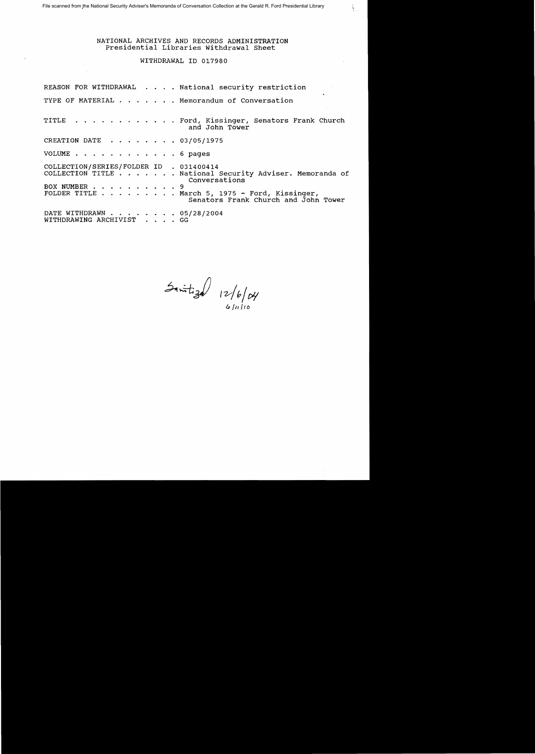# NATIONAL ARCHIVES AND RECORDS ADMINISTRATION Presidential Libraries withdrawal Sheet

ţ  $\bar{z}$ 

# WITHDRAWAL ID 017980

|                                                         | REASON FOR WITHDRAWAL National security restriction                                                                                                                |
|---------------------------------------------------------|--------------------------------------------------------------------------------------------------------------------------------------------------------------------|
|                                                         | TYPE OF MATERIAL Memorandum of Conversation                                                                                                                        |
|                                                         | TITLE Ford, Kissinger, Senators Frank Church<br>and John Tower                                                                                                     |
| CREATION DATE 03/05/1975                                |                                                                                                                                                                    |
| VOLUME 6 pages                                          |                                                                                                                                                                    |
| COLLECTION/SERIES/FOLDER ID . 031400414<br>BOX NUMBER 9 | COLLECTION TITLE National Security Adviser. Memoranda of<br>Conversations<br>FOLDER TITLE March 5, 1975 - Ford, Kissinger,<br>Senators Frank Church and John Tower |
| DATE WITHDRAWN 05/28/2004<br>WITHDRAWING ARCHIVIST GG   |                                                                                                                                                                    |

 $\frac{3}{4}$  12/b/dy

 $6/11/10$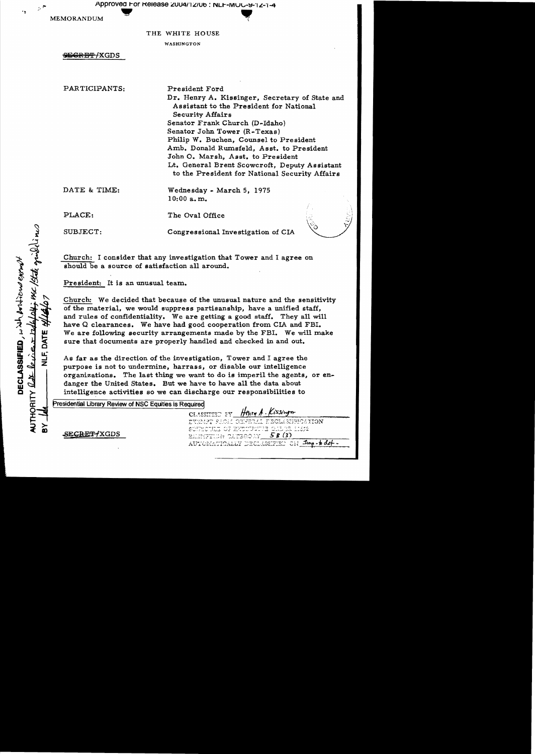Approved For Release 2004/12/06 : NLF-MUC-9-12-1-4

**MEMORANDUM** 

فيو

## THE WHITE HOUSE

WASHINGTON

**SEGRET/XGDS** 

PARTICIPANTS:

President Ford Dr. Henry A. Kissinger, Secretary of State and Assistant to the President for National **Security Affairs** Senator Frank Church (D-Idaho) Senator John Tower (R-Texas) Philip W. Buchen, Counsel to President Amb. Donald Rumsfeld, Asst. to President John O. Marsh, Asst. to President Lt. General Brent Scowcroft, Deputy Assistant to the President for National Security Affairs

DATE & TIME:

PLACE:

SUBJECT:

Congressional Investigation of CIA

Wednesday - March 5, 1975

Church: I consider that any investigation that Tower and I agree on should be a source of satisfaction all around.

 $10:00$  a.m.

The Oval Office

President: It is an unusual team.

Church: We decided that because of the unusual nature and the sensitivity of the material, we would suppress partisanship, have a unified staff, and rules of confidentiality. We are getting a good staff. They all will have Q clearances. We have had good cooperation from CIA and FBI. We are following security arrangements made by the FBI. We will make sure that documents are properly handled and checked in and out.

As far as the direction of the investigation, Tower and I agree the purpose is not to undermine, harrass, or disable our intelligence organizations. The last thing we want to do is imperil the agents, or endanger the United States. But we have to have all the data about intelligence activities so we can discharge our responsibilities to

Presidential Library Review of NSC Equities is Required

that girle ins DECLASSIFIED, with protoco exert NLF. DAT HORITY  $Q_{\Delta}$   $\ell_{a}$  i.e.

**SECRET XGDS** 

Henry A. Kissinger CLASSIFIED BY DYNMPT SHOLL CHWERLI EBOLASHEMOAYION SUNTECTILE OF REPORTED EN THE ALSIZ  $5B(3)$ RAMEFIADN CATEGONY AUTOMATICALLY DECLASSIFIED CH Imp-b det-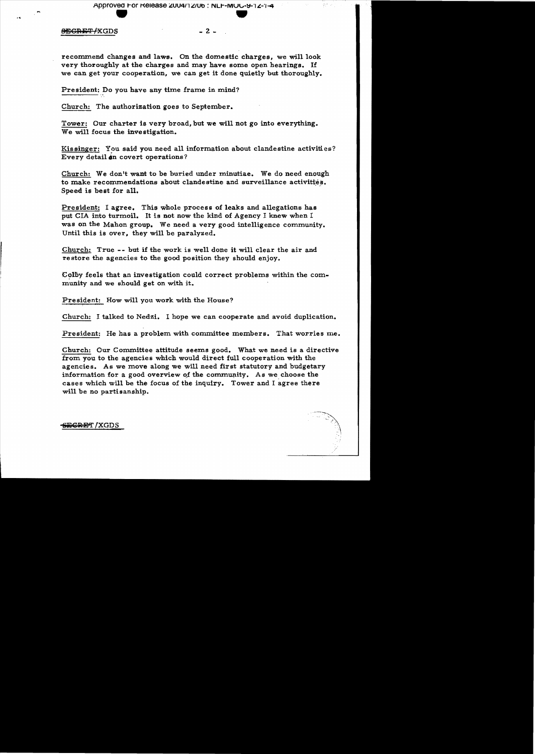# **SEGRET/XGDS**

recommend changes and laws. On the domestic charges, we will look very thoroughly at the charges and may have some open hearings. If we can get your cooperation, we can get it done quietly but thoroughly.

 $-2$   $-$ 

President: Do you have any time frame in mind?

Church: The authorization goes to September.

Tower: Our charter is very broad, but we will not go into everything. We will focus the investigation.

Kissinger: You said you need all information about clandestine activities? Every detail on covert operations?

Church: We don't want to be buried under minutiae. We do need enough to make recommendations about clandestine and surveillance activities. Speed is best for all.

President: I agree. This whole process of leaks and allegations has put CIA into turmoil. It is not now the kind of Agency I knew when I was on the Mahon group. We need a very good intelligence community. Until this is over, they will be paralyzed.

Church: True -- but if the work is well done it will clear the air and restore the agencies to the good position they should enjoy.

Colby feels that an investigation could correct problems within the community and we should get on with it.

President: How will you work with the House?

Church: I talked to Nedzi. I hope we can cooperate and avoid duplication.

President: He has a problem with committee members. That worries me.

Church: Our Committee attitude seems good. What we need is a directive from you to the agencies which would direct full cooperation with the agencies. As we move along we will need first statutory and budgetary information for a good overview of the community. As we choose the cases which will be the focus of the inquiry. Tower and I agree there will be no partisanship.

<del>SECRET</del> / XGDS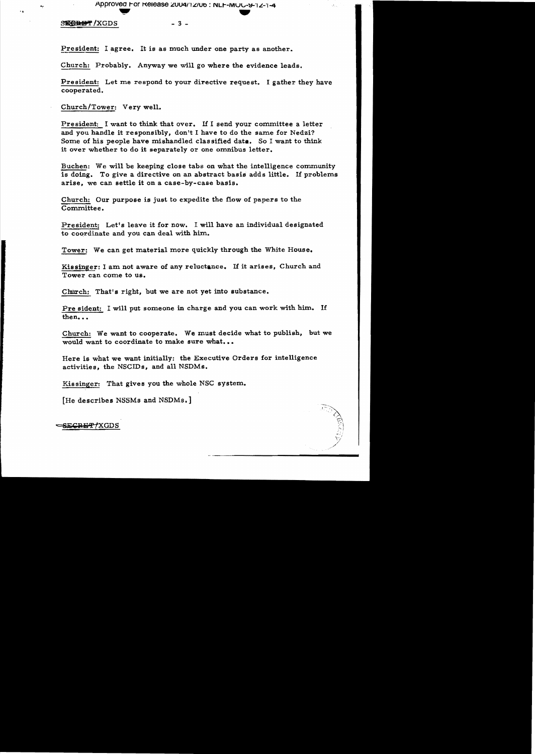## Approved For Release 2004/12/06 : NLF-MUC-9-12-1-4

A.

#### SEGRET/XGDS

 $-3 -$ 

President: I agree. It is as much under one party as another.

Church: Probably. Anyway we will go where the evidence leads.

President: Let me respond to your directive request. I gather they have cooperated.

Church/Tower: Very well.

President: I want to think that over. If I send your committee a letter and you handle it responsibly, don't I have to do the same for Nedzi? Some of his people have mishandled classified data. So I want to think it over whether to do it separately or one omnibus letter.

Buchen: We will be keeping close tabs on what the intelligence community is doing. To give a directive on an abstract basis adds little. If problems arise, we can settle it on a case-by-case basis.

Church: Our purpose is just to expedite the flow of papers to the Committee.

President: Let's leave it for now. I will have an individual designated to coordinate and you can deal with him.

Tower: We can get material more quickly through the White House.

Kissinger: I am not aware of any reluctance. If it arises, Church and Tower can come to us.

Church: That's right, but we are not yet into substance.

Pre sident: I will put someone in charge and you can work with him. If then...

Church: We want to cooperate. We must decide what to publish, but we would want to coordinate to make sure what...

Here is what we want initially: the Executive Orders for intelligence activities, the NSCIDs, and all NSDMs.

Kissinger: That gives you the whole NSC system.

[He describes NSSMs and NSDMs.]

<del>SECRET/</del>XGDS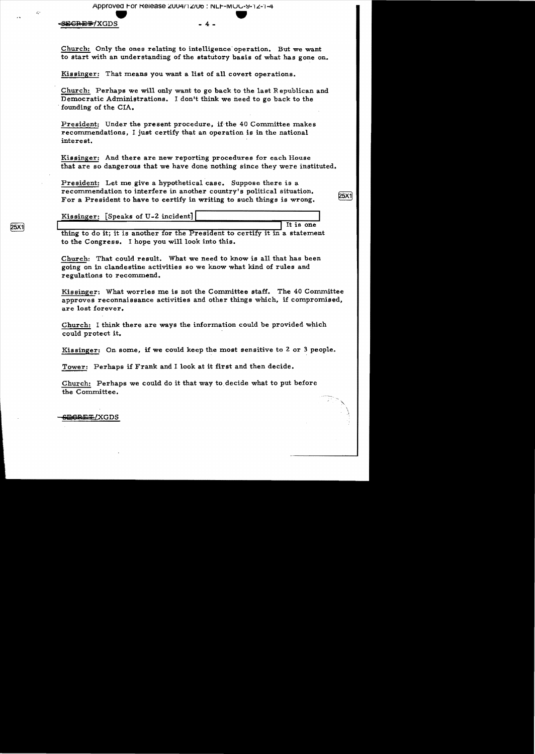Approvea r-or KeleaSe ~UU4r1 ~/Utl : NLr--IVIULt·~.FI L-'I-4 -=SiilCJ.\ . El!i\*1XGDS • - 4 •

v.

Church: Only the ones relating to intelligence' operation. But we want to start with an understanding of the statutory basis of what has gone on.

Kissinger: That means you want a list of all covert operations.

Church: Perhaps we will only want to go back to the last Republican and Democratic Administrations. I don't think we need to go back to the . founding of the CIA.

President: Under the present procedure, if the 40 Committee makes recommendations, I just certify that an operation is in the national interest.

Kissinger: And there are new reporting procedures for each House that are so dangerous that we have done nothing since they were instituted.

25X1

President: Let me give a hypothetical case. Suppose there is a recommendation to interfere in another country's political situation. For a President to have to certify in writing to such things is wrong.

Kissinger: [Speaks of U-2 incident] It is one

thing to do it; it is another for the President to certify it in a statement to the Congress. I hope you will look into this.

Church: That could result. What we need to know is all that has been going on in clandestine activities 80 we know what kind of rules and regulations to recommend.

Kisainger: What worries me is not the Committee staff. The 40 Committee approves reconnaissance activities and other thinge which, if compromised, are lost forever.

Church: I think there are ways the information could be provided which could protect it.

Kissinger: On some, if we could keep the most sensitive to 2 or 3 people.

Tower: Perhaps if Frank and I look at it first and then decide.

Church: Perhaps we could do it that way to. decide what to put before the Committee.

**25X1** 

<del>;⊟CRET</del>/XGDS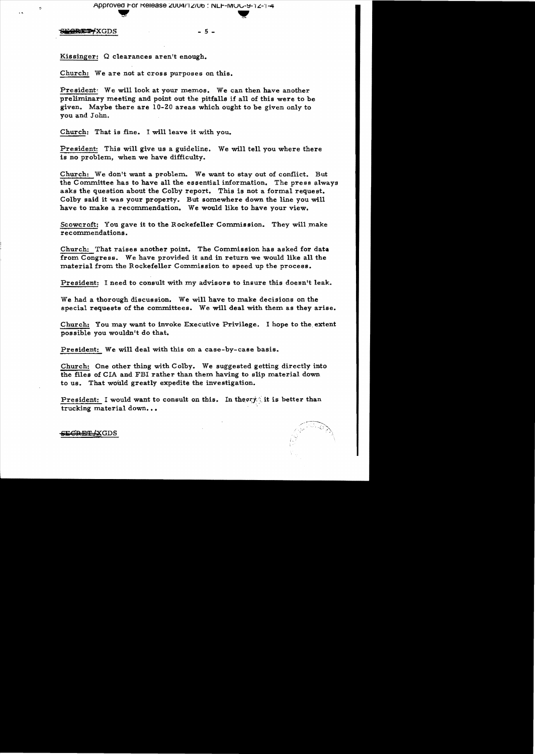Approved For Release 2004/12/06 : NLF-MOC-9-12-1-4

**CRET XGDS** 

 $\overline{\mathbf{z}}$ 

 $-5 -$ 

Kissinger: Q clearances aren't enough.

Church: We are not at cross purposes on this.

President: We will look at your memos. We can then have another preliminary meeting and point out the pitfalls if all of this were to be given. Maybe there are 10-20 areas which ought to be given only to vou and John.

Church: That is fine. I will leave it with you.

President: This will give us a guideline. We will tell you where there is no problem, when we have difficulty.

Church: We don't want a problem. We want to stay out of conflict. But the Committee has to have all the essential information. The press always asks the question about the Colby report. This is not a formal request. Colby said it was your property. But somewhere down the line you will have to make a recommendation. We would like to have your view.

Scowcroft: You gave it to the Rockefeller Commission. They will make recommendations.

Church: That raises another point. The Commission has asked for data from Congress. We have provided it and in return we would like all the material from the Rockefeller Commission to speed up the process.

President: I need to consult with my advisors to insure this doesn't leak.

We had a thorough discussion. We will have to make decisions on the special requests of the committees. We will deal with them as they arise.

Church: You may want to invoke Executive Privilege. I hope to the extent possible you wouldn't do that.

President: We will deal with this on a case-by-case basis.

Church: One other thing with Colby. We suggested getting directly into the files of CIA and FBI rather than them having to slip material down to us. That would greatly expedite the investigation.

President: I would want to consult on this. In theory it is better than trucking material down...

SE<del>CRET (</del>XGDS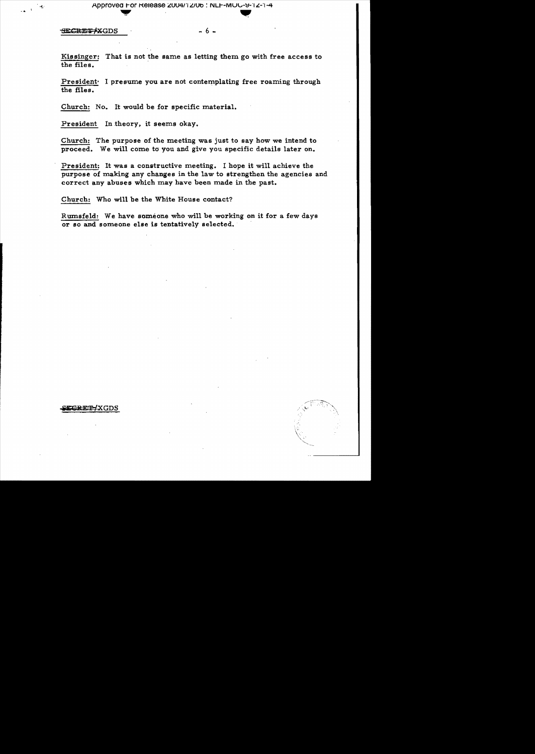#### <del>SECRET X</del>GDS

. 6 -

That is not the same as letting them go with free access to Kissinger: the files.

President. I presume you are not contemplating free roaming through the files.

Church: No. It would be for specific material.

President In theory, it seems okay.

Church: The purpose of the meeting was just to say how we intend to proceed. We will come to you and give you specific details later on.

President: It was a constructive meeting. I hope it will achieve the purpose of making any changes in the law to strengthen the agencies and correct any abuses which may have been made in the past.

Church: Who will be the White House contact?

Rumsfeld: We have someone who will be working on it for a few days or so and someone else is tentatively selected.